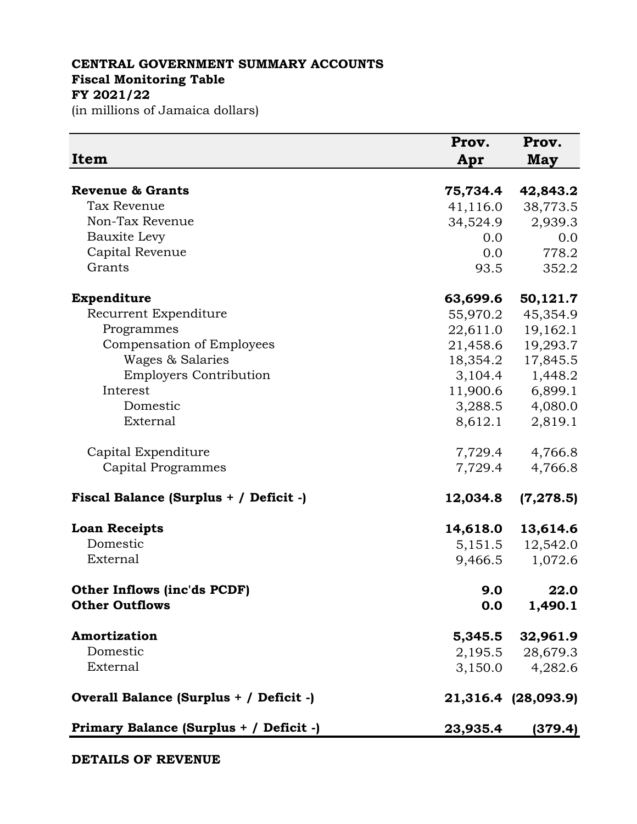## **CENTRAL GOVERNMENT SUMMARY ACCOUNTS Fiscal Monitoring Table FY 2021/22**

(in millions of Jamaica dollars)

| Item                                    | Prov.<br>Apr | Prov.<br><b>May</b> |
|-----------------------------------------|--------------|---------------------|
| <b>Revenue &amp; Grants</b>             | 75,734.4     | 42,843.2            |
| <b>Tax Revenue</b>                      | 41,116.0     | 38,773.5            |
| Non-Tax Revenue                         | 34,524.9     | 2,939.3             |
| <b>Bauxite Levy</b>                     | 0.0          | 0.0                 |
| Capital Revenue                         | 0.0          | 778.2               |
| Grants                                  | 93.5         | 352.2               |
| Expenditure                             | 63,699.6     | 50,121.7            |
| Recurrent Expenditure                   | 55,970.2     | 45,354.9            |
| Programmes                              | 22,611.0     | 19,162.1            |
| Compensation of Employees               | 21,458.6     | 19,293.7            |
| Wages & Salaries                        | 18,354.2     | 17,845.5            |
| <b>Employers Contribution</b>           | 3,104.4      | 1,448.2             |
| Interest                                | 11,900.6     | 6,899.1             |
| Domestic                                | 3,288.5      | 4,080.0             |
| External                                | 8,612.1      | 2,819.1             |
| Capital Expenditure                     | 7,729.4      | 4,766.8             |
| Capital Programmes                      | 7,729.4      | 4,766.8             |
| Fiscal Balance (Surplus + / Deficit -)  | 12,034.8     | (7, 278.5)          |
| <b>Loan Receipts</b>                    | 14,618.0     | 13,614.6            |
| Domestic                                | 5,151.5      | 12,542.0            |
| External                                | 9,466.5      | 1,072.6             |
| Other Inflows (inc'ds PCDF)             | 9.0          | 22.0                |
| <b>Other Outflows</b>                   | 0.0          | 1,490.1             |
| Amortization                            | 5,345.5      | 32,961.9            |
| Domestic                                |              | 2,195.5 28,679.3    |
| External                                | 3,150.0      | 4,282.6             |
| Overall Balance (Surplus + / Deficit -) |              | 21,316.4 (28,093.9) |
| Primary Balance (Surplus + / Deficit -) | 23,935.4     | (379.4)             |

**DETAILS OF REVENUE**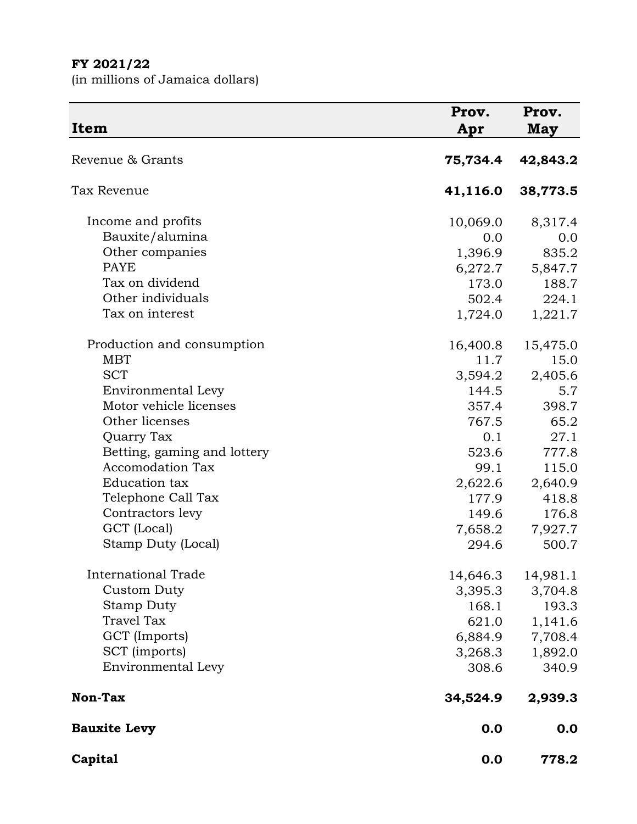## **FY 2021/22**

(in millions of Jamaica dollars)

| <b>Item</b>                 | Prov.<br>Apr | Prov.<br><b>May</b> |
|-----------------------------|--------------|---------------------|
| Revenue & Grants            | 75,734.4     | 42,843.2            |
| Tax Revenue                 | 41,116.0     | 38,773.5            |
| Income and profits          | 10,069.0     | 8,317.4             |
| Bauxite/alumina             | 0.0          | 0.0                 |
| Other companies             | 1,396.9      | 835.2               |
| <b>PAYE</b>                 | 6,272.7      | 5,847.7             |
| Tax on dividend             | 173.0        | 188.7               |
| Other individuals           | 502.4        | 224.1               |
| Tax on interest             | 1,724.0      | 1,221.7             |
| Production and consumption  | 16,400.8     | 15,475.0            |
| <b>MBT</b>                  | 11.7         | 15.0                |
| <b>SCT</b>                  | 3,594.2      | 2,405.6             |
| Environmental Levy          | 144.5        | 5.7                 |
| Motor vehicle licenses      | 357.4        | 398.7               |
| Other licenses              | 767.5        | 65.2                |
| Quarry Tax                  | 0.1          | 27.1                |
| Betting, gaming and lottery | 523.6        | 777.8               |
| <b>Accomodation Tax</b>     | 99.1         | 115.0               |
| Education tax               | 2,622.6      | 2,640.9             |
| Telephone Call Tax          | 177.9        | 418.8               |
| Contractors levy            | 149.6        | 176.8               |
| GCT (Local)                 | 7,658.2      | 7,927.7             |
| Stamp Duty (Local)          | 294.6        | 500.7               |
| <b>International Trade</b>  | 14,646.3     | 14,981.1            |
| <b>Custom Duty</b>          | 3,395.3      | 3,704.8             |
| <b>Stamp Duty</b>           | 168.1        | 193.3               |
| <b>Travel Tax</b>           | 621.0        | 1,141.6             |
| GCT (Imports)               | 6,884.9      | 7,708.4             |
| SCT (imports)               | 3,268.3      | 1,892.0             |
| Environmental Levy          | 308.6        | 340.9               |
| Non-Tax                     | 34,524.9     | 2,939.3             |
| <b>Bauxite Levy</b>         | 0.0          | 0.0                 |
| Capital                     | 0.0          | 778.2               |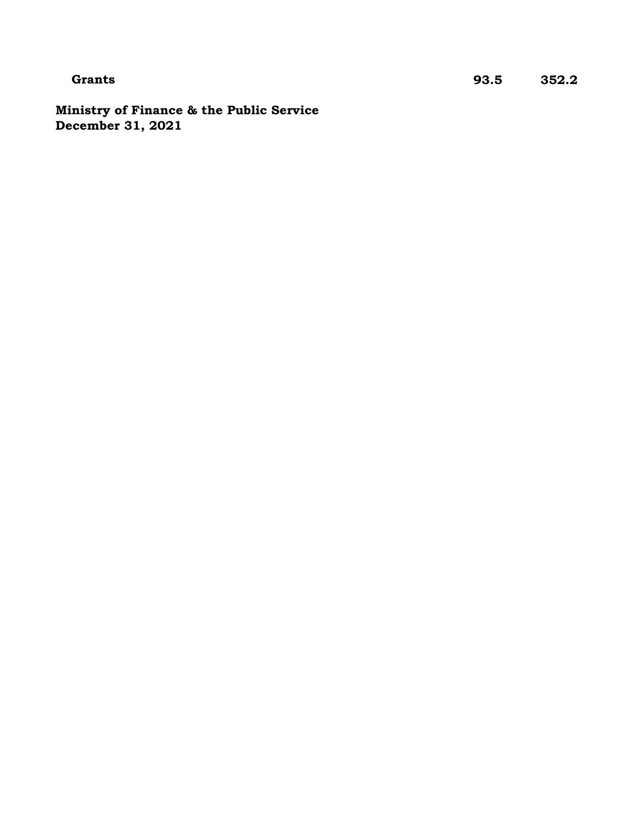**Ministry of Finance & the Public Service December 31, 2021**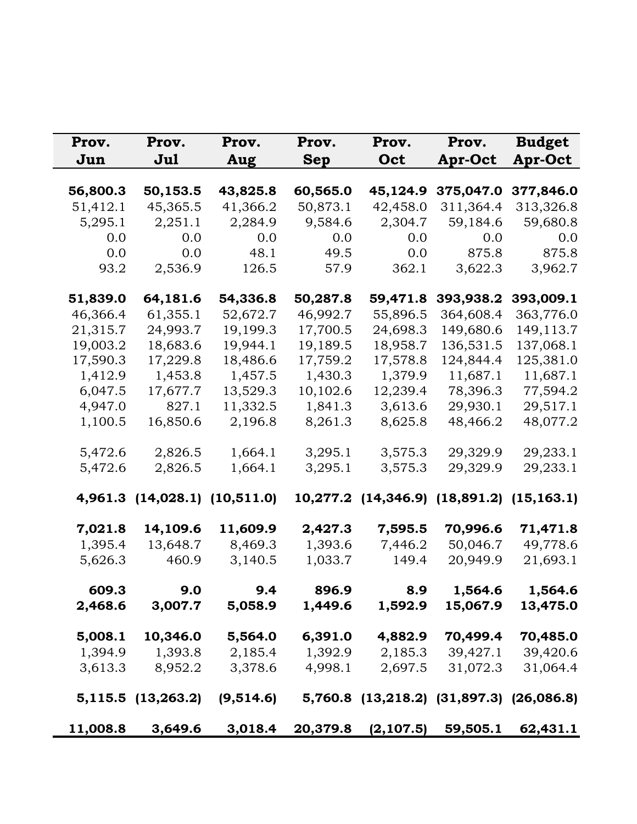| Prov.<br>Jun | Prov.<br>Jul                  | Prov.<br>Aug | Prov.<br>Sep | Prov.<br>Oct                              | Prov.<br><b>Apr-Oct</b> | <b>Budget</b><br><b>Apr-Oct</b> |
|--------------|-------------------------------|--------------|--------------|-------------------------------------------|-------------------------|---------------------------------|
| 56,800.3     | 50,153.5                      | 43,825.8     | 60,565.0     | 45,124.9                                  | 375,047.0               | 377,846.0                       |
| 51,412.1     | 45,365.5                      | 41,366.2     | 50,873.1     | 42,458.0                                  | 311,364.4               | 313,326.8                       |
| 5,295.1      | 2,251.1                       | 2,284.9      | 9,584.6      | 2,304.7                                   | 59,184.6                | 59,680.8                        |
| 0.0          | 0.0                           | 0.0          | 0.0          | 0.0                                       | 0.0                     | 0.0                             |
| 0.0          | 0.0                           | 48.1         | 49.5         | 0.0                                       | 875.8                   | 875.8                           |
| 93.2         | 2,536.9                       | 126.5        | 57.9         | 362.1                                     | 3,622.3                 | 3,962.7                         |
| 51,839.0     | 64,181.6                      | 54,336.8     | 50,287.8     | 59,471.8                                  | 393,938.2               | 393,009.1                       |
| 46,366.4     | 61,355.1                      | 52,672.7     | 46,992.7     | 55,896.5                                  | 364,608.4               | 363,776.0                       |
| 21,315.7     | 24,993.7                      | 19,199.3     | 17,700.5     | 24,698.3                                  | 149,680.6               | 149,113.7                       |
| 19,003.2     | 18,683.6                      | 19,944.1     | 19,189.5     | 18,958.7                                  | 136,531.5               | 137,068.1                       |
| 17,590.3     | 17,229.8                      | 18,486.6     | 17,759.2     | 17,578.8                                  | 124,844.4               | 125,381.0                       |
| 1,412.9      | 1,453.8                       | 1,457.5      | 1,430.3      | 1,379.9                                   | 11,687.1                | 11,687.1                        |
| 6,047.5      | 17,677.7                      | 13,529.3     | 10,102.6     | 12,239.4                                  | 78,396.3                | 77,594.2                        |
| 4,947.0      | 827.1                         | 11,332.5     | 1,841.3      | 3,613.6                                   | 29,930.1                | 29,517.1                        |
| 1,100.5      | 16,850.6                      | 2,196.8      | 8,261.3      | 8,625.8                                   | 48,466.2                | 48,077.2                        |
| 5,472.6      | 2,826.5                       | 1,664.1      | 3,295.1      | 3,575.3                                   | 29,329.9                | 29,233.1                        |
| 5,472.6      | 2,826.5                       | 1,664.1      | 3,295.1      | 3,575.3                                   | 29,329.9                | 29,233.1                        |
|              | 4,961.3 (14,028.1) (10,511.0) |              |              | 10,277.2 (14,346.9) (18,891.2) (15,163.1) |                         |                                 |
| 7,021.8      | 14,109.6                      | 11,609.9     | 2,427.3      | 7,595.5                                   | 70,996.6                | 71,471.8                        |
| 1,395.4      | 13,648.7                      | 8,469.3      | 1,393.6      | 7,446.2                                   | 50,046.7                | 49,778.6                        |
| 5,626.3      | 460.9                         | 3,140.5      | 1,033.7      | 149.4                                     | 20,949.9                | 21,693.1                        |
| 609.3        | 9.0                           | 9.4          | 896.9        | 8.9                                       | 1,564.6                 | 1,564.6                         |
| 2,468.6      | 3,007.7                       | 5,058.9      | 1,449.6      | 1,592.9                                   | 15,067.9                | 13,475.0                        |
| 5,008.1      | 10,346.0                      | 5,564.0      | 6,391.0      | 4,882.9                                   | 70,499.4                | 70,485.0                        |
| 1,394.9      | 1,393.8                       | 2,185.4      | 1,392.9      | 2,185.3                                   | 39,427.1                | 39,420.6                        |
| 3,613.3      | 8,952.2                       | 3,378.6      | 4,998.1      | 2,697.5                                   | 31,072.3                | 31,064.4                        |
|              | 5,115.5 (13,263.2)            | (9,514.6)    |              | 5,760.8 (13,218.2) (31,897.3) (26,086.8)  |                         |                                 |
| 11,008.8     | 3,649.6                       | 3,018.4      | 20,379.8     | (2, 107.5)                                | 59,505.1                | 62,431.1                        |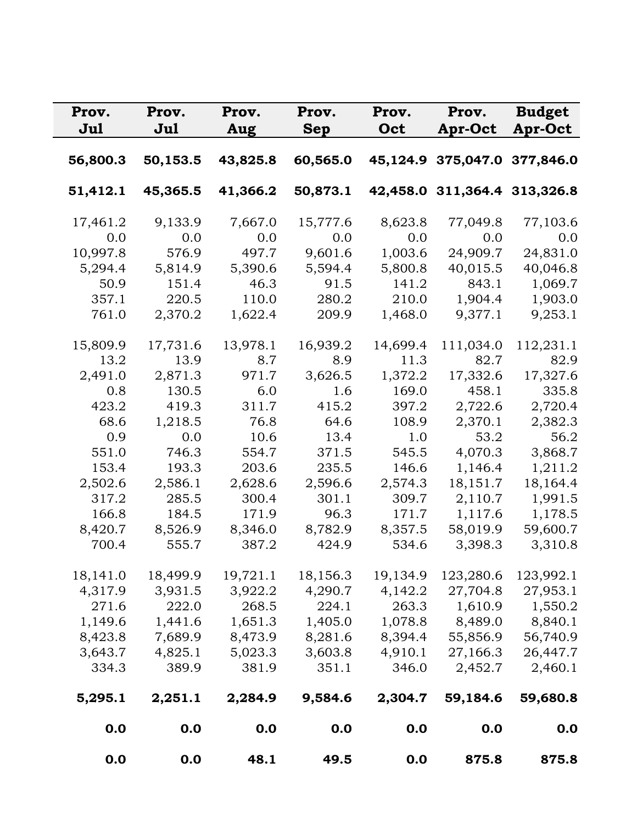| Prov.    | Prov.    | Prov.    | Prov.      | Prov.    | Prov.                        | <b>Budget</b>  |
|----------|----------|----------|------------|----------|------------------------------|----------------|
| Jul      | Jul      | Aug      | <b>Sep</b> | Oct      | Apr-Oct                      | <b>Apr-Oct</b> |
| 56,800.3 | 50,153.5 | 43,825.8 | 60,565.0   |          | 45,124.9 375,047.0 377,846.0 |                |
|          |          |          |            |          |                              |                |
| 51,412.1 | 45,365.5 | 41,366.2 | 50,873.1   |          | 42,458.0 311,364.4 313,326.8 |                |
| 17,461.2 | 9,133.9  | 7,667.0  | 15,777.6   | 8,623.8  | 77,049.8                     | 77,103.6       |
| 0.0      | 0.0      | 0.0      | 0.0        | 0.0      | 0.0                          | 0.0            |
| 10,997.8 | 576.9    | 497.7    | 9,601.6    | 1,003.6  | 24,909.7                     | 24,831.0       |
| 5,294.4  | 5,814.9  | 5,390.6  | 5,594.4    | 5,800.8  | 40,015.5                     | 40,046.8       |
| 50.9     | 151.4    | 46.3     | 91.5       | 141.2    | 843.1                        | 1,069.7        |
| 357.1    | 220.5    | 110.0    | 280.2      | 210.0    | 1,904.4                      | 1,903.0        |
| 761.0    | 2,370.2  | 1,622.4  | 209.9      | 1,468.0  | 9,377.1                      | 9,253.1        |
| 15,809.9 | 17,731.6 | 13,978.1 | 16,939.2   | 14,699.4 | 111,034.0                    | 112,231.1      |
| 13.2     | 13.9     | 8.7      | 8.9        | 11.3     | 82.7                         | 82.9           |
| 2,491.0  | 2,871.3  | 971.7    | 3,626.5    | 1,372.2  | 17,332.6                     | 17,327.6       |
| 0.8      | 130.5    | 6.0      | 1.6        | 169.0    | 458.1                        | 335.8          |
| 423.2    | 419.3    | 311.7    | 415.2      | 397.2    | 2,722.6                      | 2,720.4        |
| 68.6     | 1,218.5  | 76.8     | 64.6       | 108.9    | 2,370.1                      | 2,382.3        |
| 0.9      | 0.0      | 10.6     | 13.4       | 1.0      | 53.2                         | 56.2           |
| 551.0    | 746.3    | 554.7    | 371.5      | 545.5    | 4,070.3                      | 3,868.7        |
| 153.4    | 193.3    | 203.6    | 235.5      | 146.6    | 1,146.4                      | 1,211.2        |
| 2,502.6  | 2,586.1  | 2,628.6  | 2,596.6    | 2,574.3  | 18,151.7                     | 18,164.4       |
| 317.2    | 285.5    | 300.4    | 301.1      | 309.7    | 2,110.7                      | 1,991.5        |
| 166.8    | 184.5    | 171.9    | 96.3       | 171.7    | 1,117.6                      | 1,178.5        |
| 8,420.7  | 8,526.9  | 8,346.0  | 8,782.9    | 8,357.5  | 58,019.9                     | 59,600.7       |
| 700.4    | 555.7    | 387.2    | 424.9      | 534.6    | 3,398.3                      | 3,310.8        |
| 18,141.0 | 18,499.9 | 19,721.1 | 18,156.3   | 19,134.9 | 123,280.6                    | 123,992.1      |
| 4,317.9  | 3,931.5  | 3,922.2  | 4,290.7    | 4,142.2  | 27,704.8                     | 27,953.1       |
| 271.6    | 222.0    | 268.5    | 224.1      | 263.3    | 1,610.9                      | 1,550.2        |
| 1,149.6  | 1,441.6  | 1,651.3  | 1,405.0    | 1,078.8  | 8,489.0                      | 8,840.1        |
| 8,423.8  | 7,689.9  | 8,473.9  | 8,281.6    | 8,394.4  | 55,856.9                     | 56,740.9       |
| 3,643.7  | 4,825.1  | 5,023.3  | 3,603.8    | 4,910.1  | 27,166.3                     | 26,447.7       |
| 334.3    | 389.9    | 381.9    | 351.1      | 346.0    | 2,452.7                      | 2,460.1        |
| 5,295.1  | 2,251.1  | 2,284.9  | 9,584.6    | 2,304.7  | 59,184.6                     | 59,680.8       |
| 0.0      | 0.0      | 0.0      | 0.0        | 0.0      | 0.0                          | 0.0            |
| 0.0      | 0.0      | 48.1     | 49.5       | 0.0      | 875.8                        | 875.8          |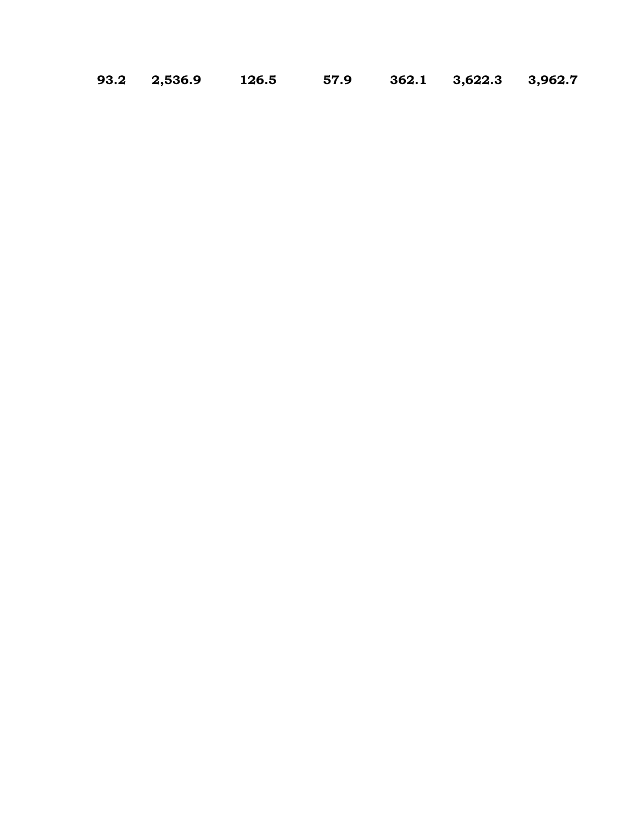**93.2 2,536.9 126.5 57.9 362.1 3,622.3 3,962.7**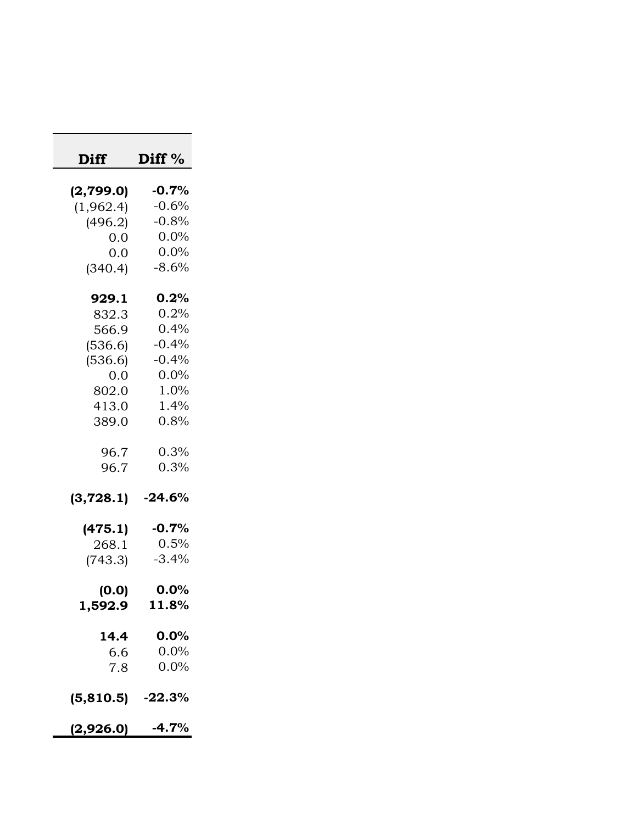| Diff               | Diff $%$ |
|--------------------|----------|
| (2,799.0)          | $-0.7\%$ |
| (1,962.4)          | $-0.6%$  |
| (496.2)            | $-0.8%$  |
| 0.0                | 0.0%     |
| 0.0                | $0.0\%$  |
| (340.4)            | $-8.6%$  |
| 929.1              | 0.2%     |
| 832.3              | 0.2%     |
| 566.9              | 0.4%     |
| (536.6)            | $-0.4%$  |
| (536.6)            | $-0.4%$  |
| 0.0                | 0.0%     |
| 802.0              | 1.0%     |
| 413.0              | 1.4%     |
| 389.0              | 0.8%     |
| 96.7               | 0.3%     |
| 96.7               | 0.3%     |
| (3, 728.1)         | $-24.6%$ |
| (475.1)            | $-0.7%$  |
| 268.1              | 0.5%     |
| (743.3)            | $-3.4%$  |
| (0.0)              | 0.0%     |
| 1,592.9            | 11.8%    |
| 14.4               | 0.0%     |
| 6.6                | 0.0%     |
| 7.8                | $0.0\%$  |
| $(5,810.5)$ -22.3% |          |
| $(2,926.0)$ -4.7%  |          |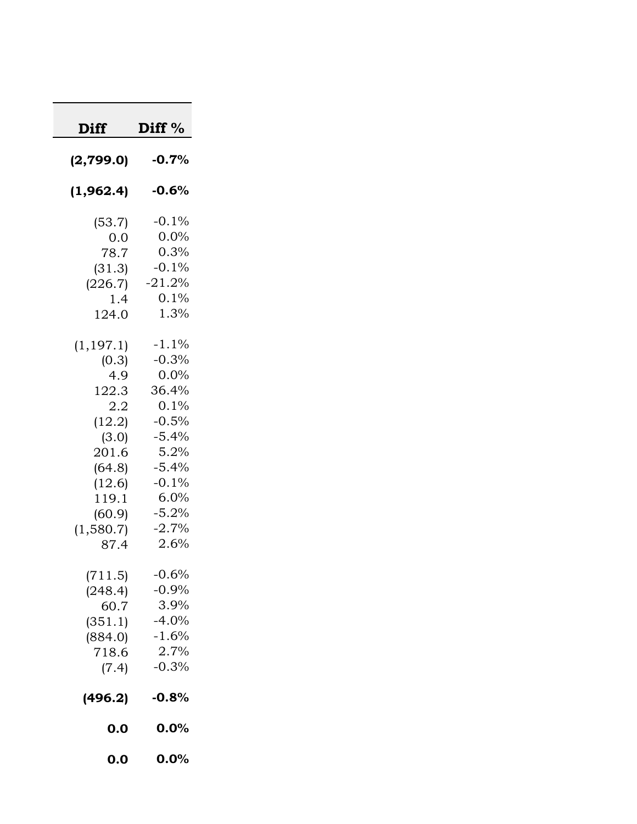| <b>Diff</b>                                                                                                                        | Diff %                                                                                                                                   |
|------------------------------------------------------------------------------------------------------------------------------------|------------------------------------------------------------------------------------------------------------------------------------------|
| (2,799.0)                                                                                                                          | $-0.7%$                                                                                                                                  |
| (1,962.4)                                                                                                                          | $-0.6%$                                                                                                                                  |
| (53.7)<br>0.0<br>78.7<br>(31.3)<br>(226.7)<br>1.4<br>124.0                                                                         | $-0.1\%$<br>$0.0\%$<br>0.3%<br>$-0.1%$<br>$-21.2%$<br>0.1%<br>1.3%                                                                       |
| (1, 197.1)<br>(0.3)<br>4.9<br>122.3<br>2.2<br>(12.2)<br>(3.0)<br>201.6<br>(64.8)<br>(12.6)<br>119.1<br>(60.9)<br>(1,580.7)<br>87.4 | $-1.1%$<br>$-0.3%$<br>$0.0\%$<br>36.4%<br>0.1%<br>$-0.5%$<br>$-5.4%$<br>5.2%<br>$-5.4%$<br>$-0.1%$<br>6.0%<br>$-5.2%$<br>$-2.7%$<br>2.6% |
| (711.5)<br>(248.4)<br>60.7<br>(351.1)<br>(884.0)<br>718.6<br>(7.4)                                                                 | $-0.6%$<br>$-0.9%$<br>3.9%<br>$-4.0%$<br>$-1.6%$<br>2.7%<br>$-0.3%$                                                                      |
| (496.2)                                                                                                                            | $-0.8%$                                                                                                                                  |
| 0.0                                                                                                                                | 0.0%                                                                                                                                     |
| 0.0                                                                                                                                | 0.0%                                                                                                                                     |